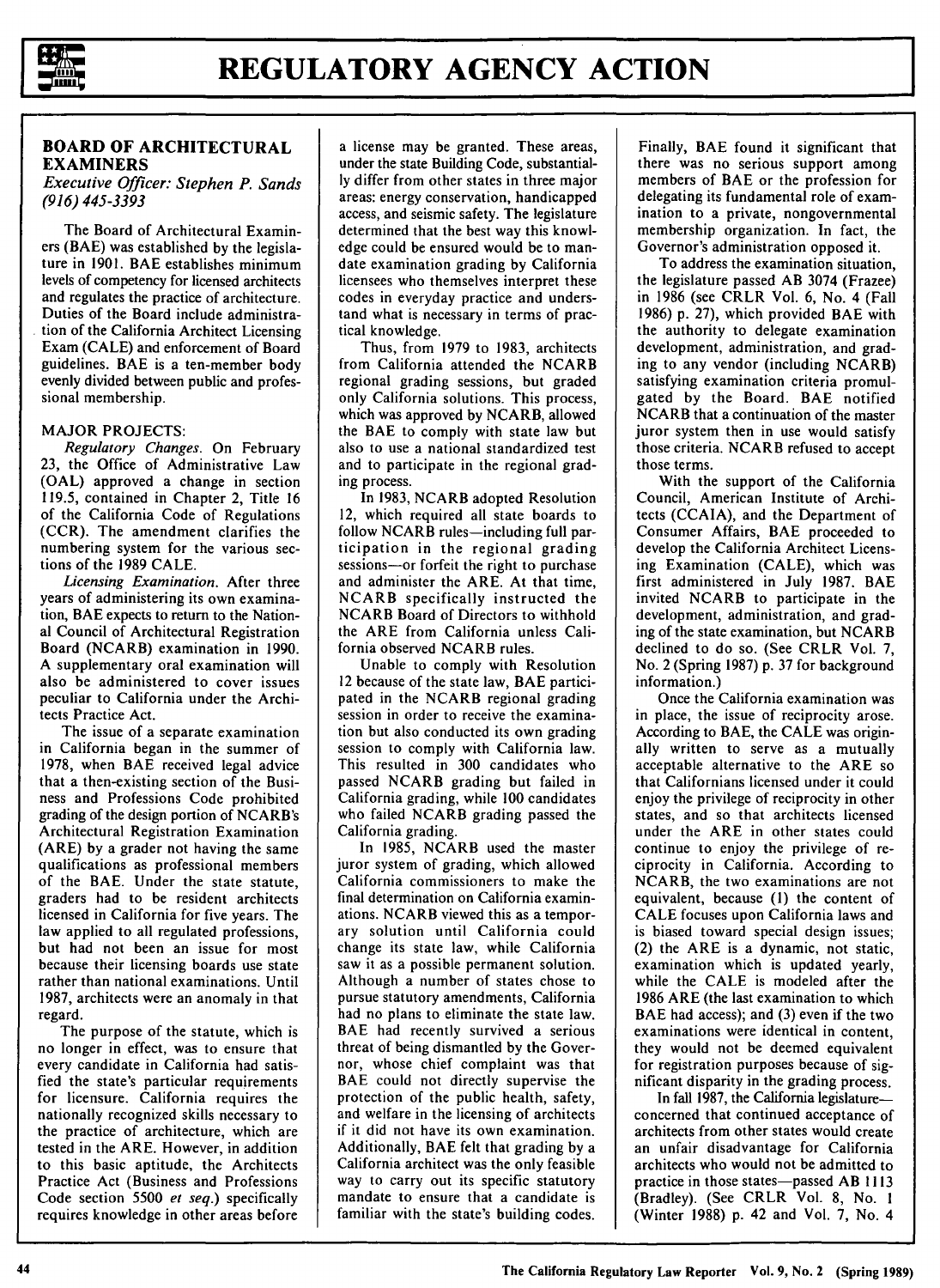

# **BOARD OF ARCHITECTURAL EXAMINERS**

*Executive Officer: Stephen P. Sands (916) 445-3393* 

The Board of Architectural Examiners (BAE) was established by the legislature in 1901. BAE establishes minimum levels of competency for licensed architects and regulates the practice of architecture. Duties of the Board include administra- . tion of the California Architect Licensing Exam (CALE) and enforcement of Board guidelines. BAE is a ten-member body evenly divided between public and professional membership.

## **MAJOR** PROJECTS:

*Regulatory Changes.* On February 23, the Office of Administrative Law **(OAL)** approved a change in section 119.5, contained in Chapter 2, Title 16 of the California Code of Regulations (CCR). The amendment clarifies the numbering system for the various sections of the 1989 CALE.

*Licensing Examination.* After three years of administering its own examination, BAE expects to return to the National Council of Architectural Registration Board **(NCARB)** examination in 1990. A supplementary oral examination will also be administered to cover issues peculiar to California under the Architects Practice Act.

The issue of a separate examination in California began in the summer of 1978, when BAE received legal advice that a then-existing section of the Business and Professions Code prohibited grading of the design portion of NCARB's Architectural Registration Examination (ARE) by a grader not having the same qualifications as professional members of the BAE. Under the state statute, graders had to be resident architects licensed in California for five years. The law applied to all regulated professions, but had not been an issue for most because their licensing boards use state rather than national examinations. Until 1987, architects were an anomaly in that regard.

The purpose of the statute, which is no longer in effect, was to ensure that every candidate in California had satisfied the state's particular requirements for licensure. California requires the nationally recognized skills necessary to the practice of architecture, which are tested in the ARE. However, in addition to this basic aptitude, the Architects Practice Act (Business and Professions Code section 5500 *et seq.)* specifically requires knowledge in other areas before

a license may be granted. These areas, under the state Building Code, substantially differ from other states in three major areas: energy conservation, handicapped access, and seismic safety. The legislature determined that the best way this knowledge could be ensured would be to mandate examination grading by California licensees who themselves interpret these codes in everyday practice and understand what is necessary in terms of practical knowledge.

Thus, from 1979 to 1983, architects from California attended the NCARB regional grading sessions, but graded only California solutions. This process, which was approved by NCARB, allowed the BAE to comply with state law but also to use a national standardized test and to participate in the regional grading process.

In 1983, NCARB adopted Resolution 12, which required all state boards to follow NCARB rules-including full participation in the regional grading sessions-or forfeit the right to purchase and administer the ARE. At that time, NCARB specifically instructed the NCARB Board of Directors to withhold the ARE from California unless California observed NCARB rules.

Unable to comply with Resolution 12 because of the state law, BAE participated in the **NCARB** regional grading session in order to receive the examination but also conducted its own grading session to comply with California law. This resulted in 300 candidates who passed NCARB grading but failed in California grading, while 100 candidates who failed NCARB grading passed the California grading.

In 1985, NCARB used the master juror system of grading, which allowed California commissioners to make the final determination on California examinations. NCARB viewed this as a temporary solution until California could change its state law, while California saw it as a possible permanent solution. Although a number of states chose to pursue statutory amendments, California had no plans to eliminate the state law. BAE had recently survived a serious threat of being dismantled by the Governor, whose chief complaint was that BAE could not directly supervise the protection of the public health, safety, and welfare in the licensing of architects if it did not have its own examination. Additionally, BAE felt that grading by a California architect was the only feasible way to carry out its specific statutory mandate to ensure that a candidate is familiar with the state's building codes.

Finally, BAE found it significant that there was no serious support among members of BAE or the profession for delegating its fundamental role of examination to a private, nongovernmental membership organization. In fact, the Governor's administration opposed it.

To address the examination situation, the legislature passed AB 3074 (Frazee) in 1986 (see CRLR Vol. 6, No. 4 (Fall 1986) p. 27), which provided BAE with the authority to delegate examination development, administration, and grading to any vendor (including **NCARB)**  satisfying examination criteria promulgated by the Board. BAE notified NCARB that a continuation of the master juror system then in use would satisfy those criteria. NCARB refused to accept those terms.

With the support of the California Council, American Institute of Architects (CCAIA), and the Department of Consumer Affairs, BAE proceeded to develop the California Architect Licensing Examination (CALE), which was first administered in July 1987. BAE invited NCARB to participate in the development, administration, and grading of the state examination, but NCARB declined to do so. (See CRLR Vol. 7, No. 2 (Spring 1987) p. 37 for background information.)

Once the California examination was in place, the issue of reciprocity arose. According to BAE, the CALE was originally written to serve as a mutually acceptable alternative to the ARE so that Californians licensed under it could enjoy the privilege of reciprocity in other states, and so that architects licensed under the ARE in other states could continue to enjoy the privilege of reciprocity in California. According to NCARB, the two examinations are not equivalent, because (1) the content of CALE focuses upon California laws and is biased toward special design issues; (2) the ARE is a dynamic, not static, examination which is updated yearly, while the CALE is modeled after the 1986 ARE (the last examination to which BAE had access); and (3) even if the two examinations were identical in content, they would not be deemed equivalent for registration purposes because of significant disparity in the grading process.

In fall 1987, the California legislatureconcerned that continued acceptance of architects from other states would create an unfair disadvantage for California architects who would not be admitted to practice in those states-passed AB 1113 (Bradley). (See CRLR Vol. 8, No. I (Winter 1988) p. 42 and Vol. 7, No. 4